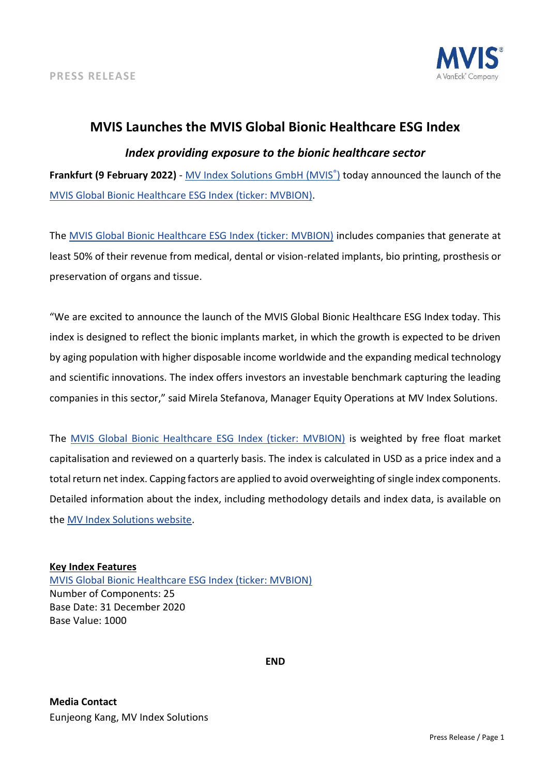

# **MVIS Launches the MVIS Global Bionic Healthcare ESG Index**

## *Index providing exposure to the bionic healthcare sector*

**Frankfurt (9 February 2022)** - [MV Index Solutions GmbH \(MVIS](https://www.mvis-indices.com/)[®](https://www.mvis-indices.com/) [\)](https://www.mvis-indices.com/) today announced the launch of th[e](https://mvis-indices.com/indices/sector/MVIS-Global-Bionic-Healthcare-ESG?utm_source=mvis&utm_medium=pressrelease&utm_campaign=announcement) [MVIS Global Bionic Healthcare ESG Index](https://mvis-indices.com/indices/sector/MVIS-Global-Bionic-Healthcare-ESG?utm_source=mvis&utm_medium=pressrelease&utm_campaign=announcement) (ticker: MVBION).

The [MVIS Global Bionic Healthcare ESG Index \(ticker: MVBION\)](https://mvis-indices.com/indices/sector/MVIS-Global-Bionic-Healthcare-ESG?utm_source=mvis&utm_medium=pressrelease&utm_campaign=announcement) includes companies that generate at least 50% of their revenue from medical, dental or vision-related implants, bio printing, prosthesis or preservation of organs and tissue.

"We are excited to announce the launch of the MVIS Global Bionic Healthcare ESG Index today. This index is designed to reflect the bionic implants market, in which the growth is expected to be driven by aging population with higher disposable income worldwide and the expanding medical technology and scientific innovations. The index offers investors an investable benchmark capturing the leading companies in this sector," said Mirela Stefanova, Manager Equity Operations at MV Index Solutions.

The [MVIS Global Bionic Healthcare ESG Index \(ticker: MVBION\)](https://mvis-indices.com/indices/sector/MVIS-Global-Bionic-Healthcare-ESG?utm_source=mvis&utm_medium=pressrelease&utm_campaign=announcement) is weighted by free float market capitalisation and reviewed on a quarterly basis. The index is calculated in USD as a price index and a total return net index. Capping factors are applied to avoid overweighting of single index components. Detailed information about the index, including methodology details and index data, is available on the [MV Index Solutions website.](https://www.mvis-indices.com/?utm_source=mvis&utm_medium=pressrelease&utm_campaign=announcement)

### **Key Index Features**

[MVIS Global Bionic Healthcare ESG Index \(ticker: MVBION\)](https://mvis-indices.com/indices/sector/MVIS-Global-Bionic-Healthcare-ESG?utm_source=mvis&utm_medium=pressrelease&utm_campaign=announcement) Number of Components: 25 Base Date: 31 December 2020 Base Value: 1000

**END**